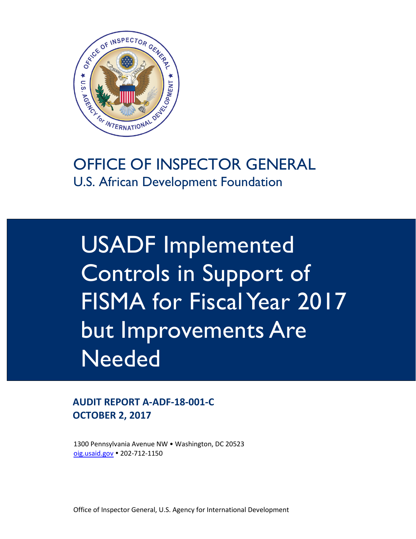

### OFFICE OF INSPECTOR GENERAL U.S. African Development Foundation

USADF Implemented Controls in Support of FISMA for Fiscal Year 2017 but Improvements Are **Needed** 

**AUDIT REPORT A-ADF-18-001-C OCTOBER 2, 2017**

1300 Pennsylvania Avenue NW • Washington, DC 20523 [oig.usaid.gov](https://oig.usaid.gov/) 202-712-1150

Office of Inspector General, U.S. Agency for International Development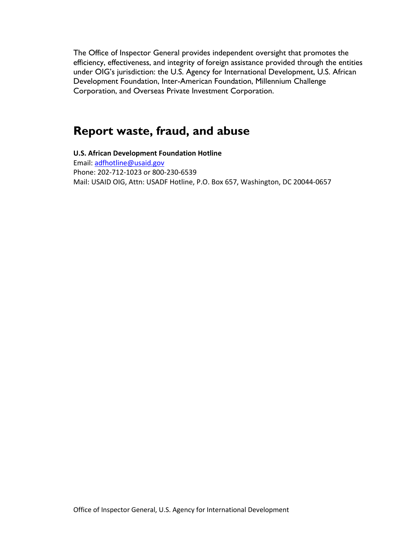The Office of Inspector General provides independent oversight that promotes the efficiency, effectiveness, and integrity of foreign assistance provided through the entities under OIG's jurisdiction: the U.S. Agency for International Development, U.S. African Development Foundation, Inter-American Foundation, Millennium Challenge Corporation, and Overseas Private Investment Corporation.

### **Report waste, fraud, and abuse**

**U.S. African Development Foundation Hotline** Email: [adfhotline@usaid.gov](mailto:adfhotline@usaid.gov) Phone: 202-712-1023 or 800-230-6539 Mail: USAID OIG, Attn: USADF Hotline, P.O. Box 657, Washington, DC 20044-0657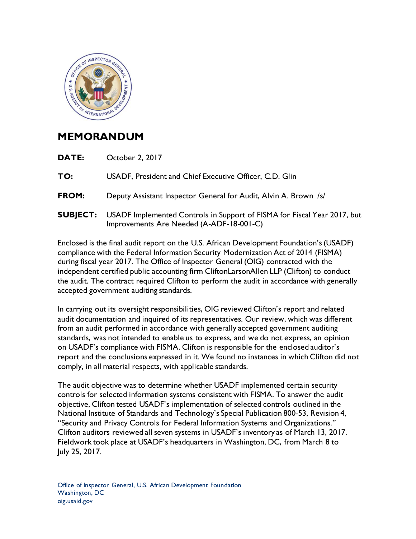

### **MEMORANDUM**

- **DATE:** October 2, 2017
- **TO:** USADF, President and Chief Executive Officer, C.D. Glin
- **FROM:** Deputy Assistant Inspector General for Audit, Alvin A. Brown /s/
- **SUBJECT:** USADF Implemented Controls in Support of FISMA for Fiscal Year 2017, but Improvements Are Needed (A-ADF-18-001-C)

Enclosed is the final audit report on the U.S. African Development Foundation's (USADF) compliance with the Federal Information Security Modernization Act of 2014 (FISMA) during fiscal year 2017. The Office of Inspector General (OIG) contracted with the independent certified public accounting firm CliftonLarsonAllen LLP (Clifton) to conduct the audit. The contract required Clifton to perform the audit in accordance with generally accepted government auditing standards.

In carrying out its oversight responsibilities, OIG reviewed Clifton's report and related audit documentation and inquired of its representatives. Our review, which was different from an audit performed in accordance with generally accepted government auditing standards, was not intended to enable us to express, and we do not express, an opinion on USADF's compliance with FISMA. Clifton is responsible for the enclosed auditor's report and the conclusions expressed in it. We found no instances in which Clifton did not comply, in all material respects, with applicable standards.

The audit objective was to determine whether USADF implemented certain security controls for selected information systems consistent with FISMA. To answer the audit objective, Clifton tested USADF's implementation of selected controls outlined in the National Institute of Standards and Technology's Special Publication 800-53, Revision 4, "Security and Privacy Controls for Federal Information Systems and Organizations." Clifton auditors reviewed all seven systems in USADF's inventory as of March 13, 2017. Fieldwork took place at USADF's headquarters in Washington, DC, from March 8 to July 25, 2017.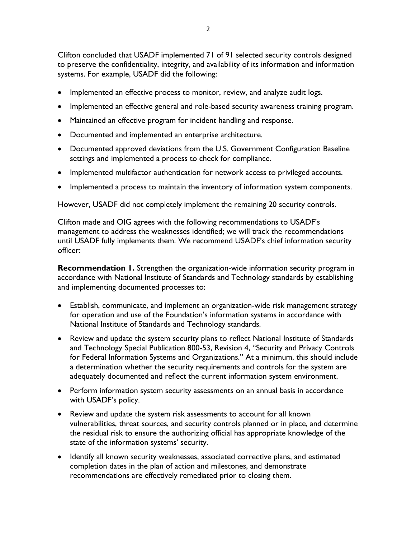Clifton concluded that USADF implemented 71 of 91 selected security controls designed to preserve the confidentiality, integrity, and availability of its information and information systems. For example, USADF did the following:

- Implemented an effective process to monitor, review, and analyze audit logs.
- Implemented an effective general and role-based security awareness training program.
- Maintained an effective program for incident handling and response.
- Documented and implemented an enterprise architecture.
- Documented approved deviations from the U.S. Government Configuration Baseline settings and implemented a process to check for compliance.
- Implemented multifactor authentication for network access to privileged accounts.
- Implemented a process to maintain the inventory of information system components.

However, USADF did not completely implement the remaining 20 security controls.

Clifton made and OIG agrees with the following recommendations to USADF's management to address the weaknesses identified; we will track the recommendations until USADF fully implements them. We recommend USADF's chief information security officer:

**Recommendation 1.** Strengthen the organization-wide information security program in accordance with National Institute of Standards and Technology standards by establishing and implementing documented processes to:

- Establish, communicate, and implement an organization-wide risk management strategy for operation and use of the Foundation's information systems in accordance with National Institute of Standards and Technology standards.
- Review and update the system security plans to reflect National Institute of Standards and Technology Special Publication 800-53, Revision 4, "Security and Privacy Controls for Federal Information Systems and Organizations." At a minimum, this should include a determination whether the security requirements and controls for the system are adequately documented and reflect the current information system environment.
- Perform information system security assessments on an annual basis in accordance with USADF's policy.
- Review and update the system risk assessments to account for all known vulnerabilities, threat sources, and security controls planned or in place, and determine the residual risk to ensure the authorizing official has appropriate knowledge of the state of the information systems' security.
- Identify all known security weaknesses, associated corrective plans, and estimated completion dates in the plan of action and milestones, and demonstrate recommendations are effectively remediated prior to closing them.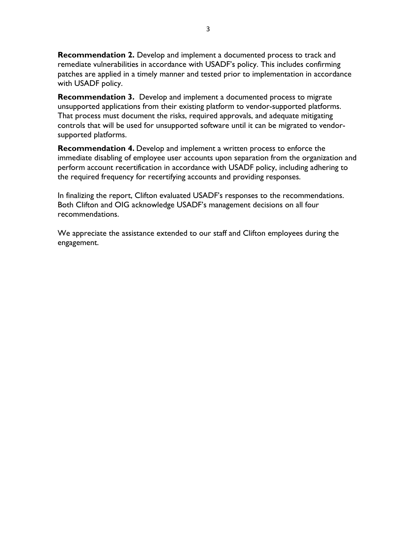**Recommendation 2.** Develop and implement a documented process to track and remediate vulnerabilities in accordance with USADF's policy. This includes confirming patches are applied in a timely manner and tested prior to implementation in accordance with USADF policy.

**Recommendation 3.** Develop and implement a documented process to migrate unsupported applications from their existing platform to vendor-supported platforms. That process must document the risks, required approvals, and adequate mitigating controls that will be used for unsupported software until it can be migrated to vendorsupported platforms.

**Recommendation 4.** Develop and implement a written process to enforce the immediate disabling of employee user accounts upon separation from the organization and perform account recertification in accordance with USADF policy, including adhering to the required frequency for recertifying accounts and providing responses.

In finalizing the report, Clifton evaluated USADF's responses to the recommendations. Both Clifton and OIG acknowledge USADF's management decisions on all four recommendations.

We appreciate the assistance extended to our staff and Clifton employees during the engagement.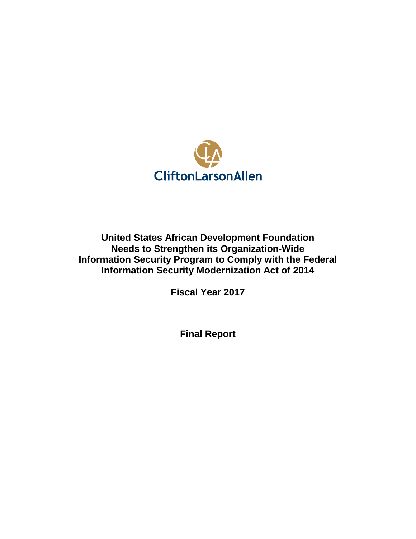

**United States African Development Foundation Needs to Strengthen its Organization-Wide Information Security Program to Comply with the Federal Information Security Modernization Act of 2014**

**Fiscal Year 2017**

**Final Report**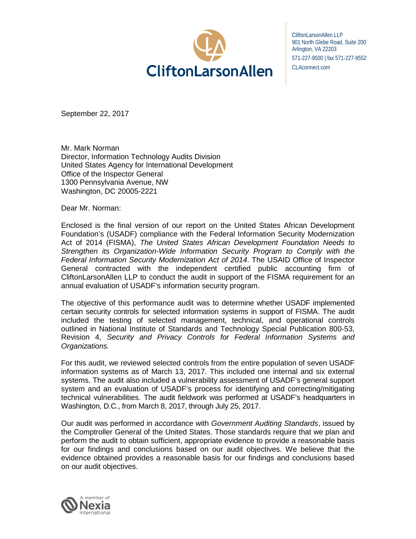

CliftonLarsonAllen LLP 901 North Glebe Road, Suite 200 Arlington, VA 22203 571-227-9500 | fax 571-227-9552 CLAconnect.com

September 22, 2017

Mr. Mark Norman Director, Information Technology Audits Division United States Agency for International Development Office of the Inspector General 1300 Pennsylvania Avenue, NW Washington, DC 20005-2221

Dear Mr. Norman:

Enclosed is the final version of our report on the United States African Development Foundation's (USADF) compliance with the Federal Information Security Modernization Act of 2014 (FISMA), *The United States African Development Foundation Needs to Strengthen its Organization-Wide Information Security Program to Comply with the Federal Information Security Modernization Act of 2014*. The USAID Office of Inspector General contracted with the independent certified public accounting firm of CliftonLarsonAllen LLP to conduct the audit in support of the FISMA requirement for an annual evaluation of USADF's information security program.

The objective of this performance audit was to determine whether USADF implemented certain security controls for selected information systems in support of FISMA. The audit included the testing of selected management, technical, and operational controls outlined in National Institute of Standards and Technology Special Publication 800-53, Revision 4, *Security and Privacy Controls for Federal Information Systems and Organizations.* 

For this audit, we reviewed selected controls from the entire population of seven USADF information systems as of March 13, 2017. This included one internal and six external systems. The audit also included a vulnerability assessment of USADF's general support system and an evaluation of USADF's process for identifying and correcting/mitigating technical vulnerabilities. The audit fieldwork was performed at USADF's headquarters in Washington, D.C., from March 8, 2017, through July 25, 2017.

Our audit was performed in accordance with *Government Auditing Standards*, issued by the Comptroller General of the United States. Those standards require that we plan and perform the audit to obtain sufficient, appropriate evidence to provide a reasonable basis for our findings and conclusions based on our audit objectives. We believe that the evidence obtained provides a reasonable basis for our findings and conclusions based on our audit objectives.

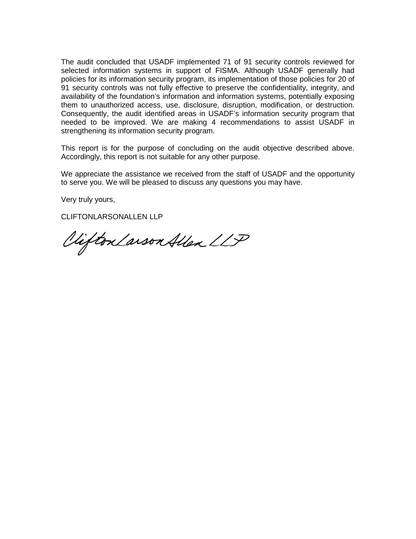The audit concluded that USADF implemented 71 of 91 security controls reviewed for selected information systems in support of FISMA. Although USADF generally had policies for its information security program, its implementation of those policies for 20 of 91 security controls was not fully effective to preserve the confidentiality, integrity, and availability of the foundation's information and information systems, potentially exposing them to unauthorized access, use, disclosure, disruption, modification, or destruction. Consequently, the audit identified areas in USADF's information security program that needed to be improved. We are making 4 recommendations to assist USADF in strengthening its information security program.

This report is for the purpose of concluding on the audit objective described above. Accordingly, this report is not suitable for any other purpose.

We appreciate the assistance we received from the staff of USADF and the opportunity to serve you. We will be pleased to discuss any questions you may have.

Very truly yours,

CLIFTONLARSONALLEN LLP

Clifton Larson Allen LLP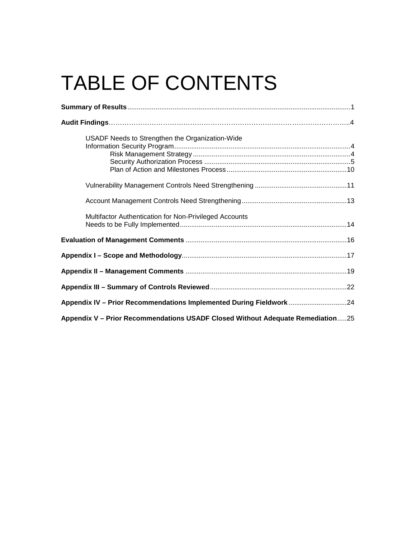# TABLE OF CONTENTS

| USADF Needs to Strengthen the Organization-Wide                                |  |  |
|--------------------------------------------------------------------------------|--|--|
|                                                                                |  |  |
|                                                                                |  |  |
| Multifactor Authentication for Non-Privileged Accounts                         |  |  |
|                                                                                |  |  |
|                                                                                |  |  |
|                                                                                |  |  |
|                                                                                |  |  |
| Appendix IV - Prior Recommendations Implemented During Fieldwork24             |  |  |
| Appendix V - Prior Recommendations USADF Closed Without Adequate Remediation25 |  |  |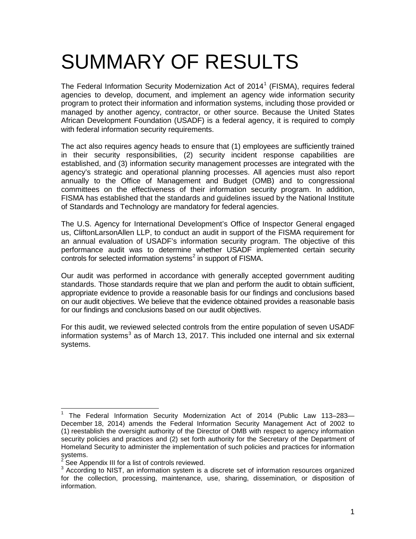## SUMMARY OF RESULTS

The Federal Information Security Modernization Act of  $2014<sup>1</sup>$  $2014<sup>1</sup>$  $2014<sup>1</sup>$  (FISMA), requires federal agencies to develop, document, and implement an agency wide information security program to protect their information and information systems, including those provided or managed by another agency, contractor, or other source. Because the United States African Development Foundation (USADF) is a federal agency, it is required to comply with federal information security requirements.

The act also requires agency heads to ensure that (1) employees are sufficiently trained in their security responsibilities, (2) security incident response capabilities are established, and (3) information security management processes are integrated with the agency's strategic and operational planning processes. All agencies must also report annually to the Office of Management and Budget (OMB) and to congressional committees on the effectiveness of their information security program. In addition, FISMA has established that the standards and guidelines issued by the National Institute of Standards and Technology are mandatory for federal agencies.

The U.S. Agency for International Development's Office of Inspector General engaged us, CliftonLarsonAllen LLP, to conduct an audit in support of the FISMA requirement for an annual evaluation of USADF's information security program. The objective of this performance audit was to determine whether USADF implemented certain security controls for selected information systems<sup>[2](#page-9-1)</sup> in support of FISMA.

Our audit was performed in accordance with generally accepted government auditing standards. Those standards require that we plan and perform the audit to obtain sufficient, appropriate evidence to provide a reasonable basis for our findings and conclusions based on our audit objectives. We believe that the evidence obtained provides a reasonable basis for our findings and conclusions based on our audit objectives.

For this audit, we reviewed selected controls from the entire population of seven USADF information systems<sup>[3](#page-9-2)</sup> as of March 13, 2017. This included one internal and six external systems.

<span id="page-9-0"></span><sup>&</sup>lt;sup>1</sup> The Federal Information Security Modernization Act of 2014 (Public Law 113–283– December 18, 2014) amends the Federal Information Security Management Act of 2002 to (1) reestablish the oversight authority of the Director of OMB with respect to agency information security policies and practices and (2) set forth authority for the Secretary of the Department of Homeland Security to administer the implementation of such policies and practices for information systems.  $\overline{\phantom{a}}$ 

<span id="page-9-1"></span>See Appendix III for a list of controls reviewed.

<span id="page-9-2"></span><sup>&</sup>lt;sup>3</sup> According to NIST, an information system is a discrete set of information resources organized for the collection, processing, maintenance, use, sharing, dissemination, or disposition of information.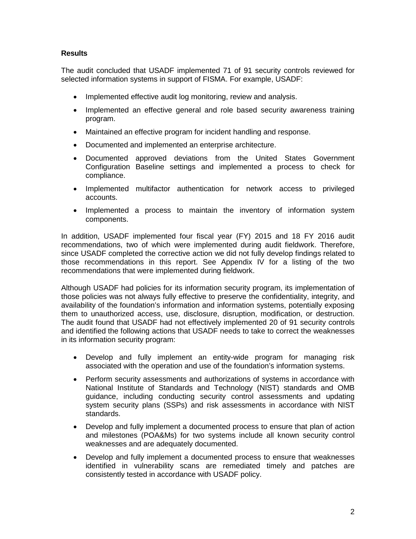#### **Results**

The audit concluded that USADF implemented 71 of 91 security controls reviewed for selected information systems in support of FISMA. For example, USADF:

- Implemented effective audit log monitoring, review and analysis.
- Implemented an effective general and role based security awareness training program.
- Maintained an effective program for incident handling and response.
- Documented and implemented an enterprise architecture.
- Documented approved deviations from the United States Government Configuration Baseline settings and implemented a process to check for compliance.
- Implemented multifactor authentication for network access to privileged accounts.
- Implemented a process to maintain the inventory of information system components.

In addition, USADF implemented four fiscal year (FY) 2015 and 18 FY 2016 audit recommendations, two of which were implemented during audit fieldwork. Therefore, since USADF completed the corrective action we did not fully develop findings related to those recommendations in this report. See Appendix IV for a listing of the two recommendations that were implemented during fieldwork.

Although USADF had policies for its information security program, its implementation of those policies was not always fully effective to preserve the confidentiality, integrity, and availability of the foundation's information and information systems, potentially exposing them to unauthorized access, use, disclosure, disruption, modification, or destruction. The audit found that USADF had not effectively implemented 20 of 91 security controls and identified the following actions that USADF needs to take to correct the weaknesses in its information security program:

- Develop and fully implement an entity-wide program for managing risk associated with the operation and use of the foundation's information systems.
- Perform security assessments and authorizations of systems in accordance with National Institute of Standards and Technology (NIST) standards and OMB guidance, including conducting security control assessments and updating system security plans (SSPs) and risk assessments in accordance with NIST standards.
- Develop and fully implement a documented process to ensure that plan of action and milestones (POA&Ms) for two systems include all known security control weaknesses and are adequately documented.
- Develop and fully implement a documented process to ensure that weaknesses identified in vulnerability scans are remediated timely and patches are consistently tested in accordance with USADF policy.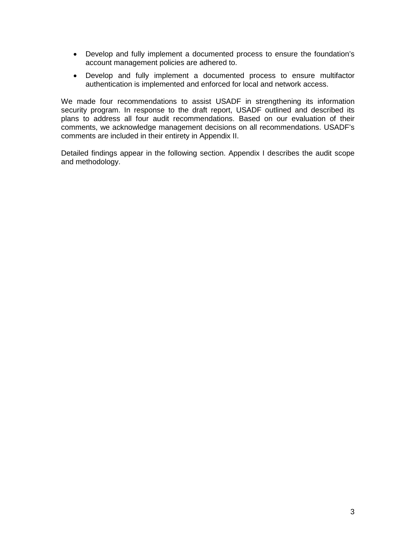- Develop and fully implement a documented process to ensure the foundation's account management policies are adhered to.
- Develop and fully implement a documented process to ensure multifactor authentication is implemented and enforced for local and network access.

We made four recommendations to assist USADF in strengthening its information security program. In response to the draft report, USADF outlined and described its plans to address all four audit recommendations. Based on our evaluation of their comments, we acknowledge management decisions on all recommendations. USADF's comments are included in their entirety in Appendix II.

Detailed findings appear in the following section. Appendix I describes the audit scope and methodology.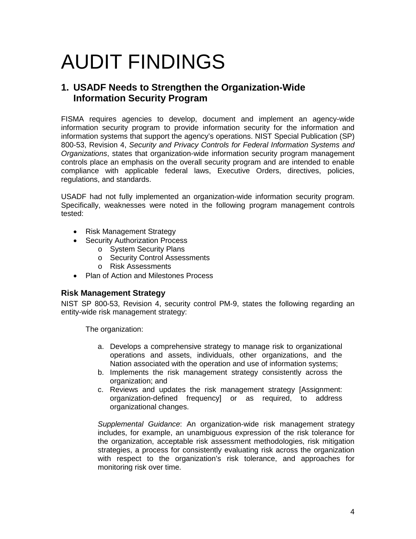### AUDIT FINDINGS

#### **1. USADF Needs to Strengthen the Organization-Wide Information Security Program**

FISMA requires agencies to develop, document and implement an agency-wide information security program to provide information security for the information and information systems that support the agency's operations. NIST Special Publication (SP) 800-53, Revision 4, *Security and Privacy Controls for Federal Information Systems and Organizations*, states that organization-wide information security program management controls place an emphasis on the overall security program and are intended to enable compliance with applicable federal laws, Executive Orders, directives, policies, regulations, and standards.

USADF had not fully implemented an organization-wide information security program. Specifically, weaknesses were noted in the following program management controls tested:

- Risk Management Strategy
- Security Authorization Process
	- o System Security Plans
	- o Security Control Assessments
	- o Risk Assessments
- Plan of Action and Milestones Process

#### **Risk Management Strategy**

NIST SP 800-53, Revision 4, security control PM-9, states the following regarding an entity-wide risk management strategy:

The organization:

- a. Develops a comprehensive strategy to manage risk to organizational operations and assets, individuals, other organizations, and the Nation associated with the operation and use of information systems;
- b. Implements the risk management strategy consistently across the organization; and
- c. Reviews and updates the risk management strategy [Assignment: organization-defined frequency] or as required, to address organizational changes.

*Supplemental Guidance*: An organization-wide risk management strategy includes, for example, an unambiguous expression of the risk tolerance for the organization, acceptable risk assessment methodologies, risk mitigation strategies, a process for consistently evaluating risk across the organization with respect to the organization's risk tolerance, and approaches for monitoring risk over time.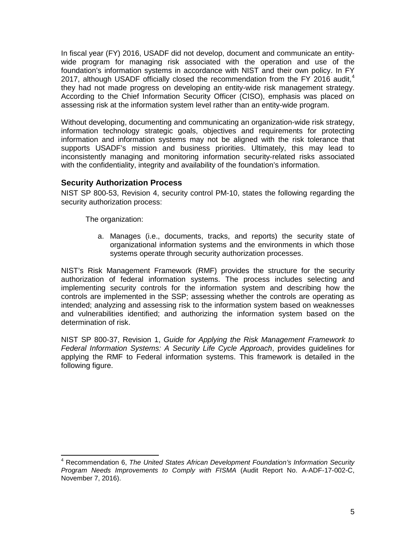In fiscal year (FY) 2016, USADF did not develop, document and communicate an entitywide program for managing risk associated with the operation and use of the foundation's information systems in accordance with NIST and their own policy. In FY 2017, although USADF officially closed the recommendation from the FY 2016 audit,<sup>[4](#page-13-0)</sup> they had not made progress on developing an entity-wide risk management strategy. According to the Chief Information Security Officer (CISO), emphasis was placed on assessing risk at the information system level rather than an entity-wide program.

Without developing, documenting and communicating an organization-wide risk strategy, information technology strategic goals, objectives and requirements for protecting information and information systems may not be aligned with the risk tolerance that supports USADF's mission and business priorities. Ultimately, this may lead to inconsistently managing and monitoring information security-related risks associated with the confidentiality, integrity and availability of the foundation's information.

#### **Security Authorization Process**

NIST SP 800-53, Revision 4, security control PM-10, states the following regarding the security authorization process:

The organization:

a. Manages (i.e., documents, tracks, and reports) the security state of organizational information systems and the environments in which those systems operate through security authorization processes.

NIST's Risk Management Framework (RMF) provides the structure for the security authorization of federal information systems. The process includes selecting and implementing security controls for the information system and describing how the controls are implemented in the SSP; assessing whether the controls are operating as intended; analyzing and assessing risk to the information system based on weaknesses and vulnerabilities identified; and authorizing the information system based on the determination of risk.

NIST SP 800-37, Revision 1, *Guide for Applying the Risk Management Framework to Federal Information Systems: A Security Life Cycle Approach*, provides guidelines for applying the RMF to Federal information systems. This framework is detailed in the following figure.

<span id="page-13-0"></span><sup>4</sup> Recommendation 6, *The United States African Development Foundation's Information Security Program Needs Improvements to Comply with FISMA* (Audit Report No. A-ADF-17-002-C, November 7, 2016).  $\overline{\phantom{a}}$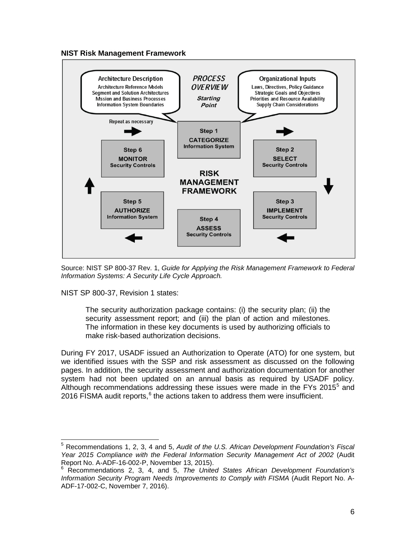



Source: NIST SP 800-37 Rev. 1, *Guide for Applying the Risk Management Framework to Federal Information Systems: A Security Life Cycle Approach.*

NIST SP 800-37, Revision 1 states:

The security authorization package contains: (i) the security plan; (ii) the security assessment report; and (iii) the plan of action and milestones. The information in these key documents is used by authorizing officials to make risk-based authorization decisions.

During FY 2017, USADF issued an Authorization to Operate (ATO) for one system, but we identified issues with the SSP and risk assessment as discussed on the following pages. In addition, the security assessment and authorization documentation for another system had not been updated on an annual basis as required by USADF policy. Although recommendations addressing these issues were made in the FYs 201[5](#page-14-0) $^5$  and 201[6](#page-14-1) FISMA audit reports, $6$  the actions taken to address them were insufficient.

<span id="page-14-0"></span><sup>5</sup> Recommendations 1, 2, 3, 4 and 5, *Audit of the U.S. African Development Foundation's Fiscal Year 2015 Compliance with the Federal Information Security Management Act of 2002* (Audit Report No. A-ADF-16-002-P, November 13, 2015).<br><sup>6</sup> Recommendations 2, 3, 4, and 5, *The United States African Development Foundation's*  $\overline{a}$ 

<span id="page-14-1"></span>*Information Security Program Needs Improvements to Comply with FISMA* (Audit Report No. A-ADF-17-002-C, November 7, 2016).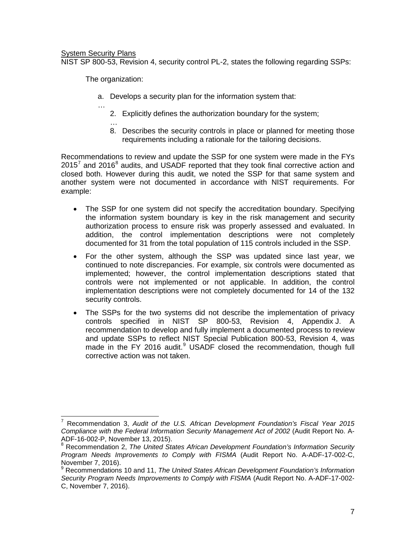#### **System Security Plans**

…

NIST SP 800-53, Revision 4, security control PL-2, states the following regarding SSPs:

The organization:

- a. Develops a security plan for the information system that:
	- 2. Explicitly defines the authorization boundary for the system;
	- … 8. Describes the security controls in place or planned for meeting those requirements including a rationale for the tailoring decisions.

Recommendations to review and update the SSP for one system were made in the FYs  $2015<sup>7</sup>$  $2015<sup>7</sup>$  $2015<sup>7</sup>$  and 2016<sup>[8](#page-15-1)</sup> audits, and USADF reported that they took final corrective action and closed both. However during this audit, we noted the SSP for that same system and another system were not documented in accordance with NIST requirements. For example:

- The SSP for one system did not specify the accreditation boundary. Specifying the information system boundary is key in the risk management and security authorization process to ensure risk was properly assessed and evaluated. In addition, the control implementation descriptions were not completely documented for 31 from the total population of 115 controls included in the SSP.
- For the other system, although the SSP was updated since last year, we continued to note discrepancies. For example, six controls were documented as implemented; however, the control implementation descriptions stated that controls were not implemented or not applicable. In addition, the control implementation descriptions were not completely documented for 14 of the 132 security controls.
- The SSPs for the two systems did not describe the implementation of privacy controls specified in NIST SP 800-53, Revision 4, Appendix J. A recommendation to develop and fully implement a documented process to review and update SSPs to reflect NIST Special Publication 800-53, Revision 4, was made in the FY 2016 audit. $9$  USADF closed the recommendation, though full corrective action was not taken.

<span id="page-15-0"></span><sup>7</sup> Recommendation 3, *Audit of the U.S. African Development Foundation's Fiscal Year 2015 Compliance with the Federal Information Security Management Act of 2002* (Audit Report No. A- $\overline{a}$ 

<span id="page-15-1"></span>ADF-16-002-P, November 13, 2015). <sup>8</sup> Recommendation 2, *The United States African Development Foundation's Information Security Program Needs Improvements to Comply with FISMA* (Audit Report No. A-ADF-17-002-C, November 7, 2016).<br><sup>9</sup> Recommendations 10 and 11, *The United States African Development Foundation's Information* 

<span id="page-15-2"></span>*Security Program Needs Improvements to Comply with FISMA* (Audit Report No. A-ADF-17-002- C, November 7, 2016).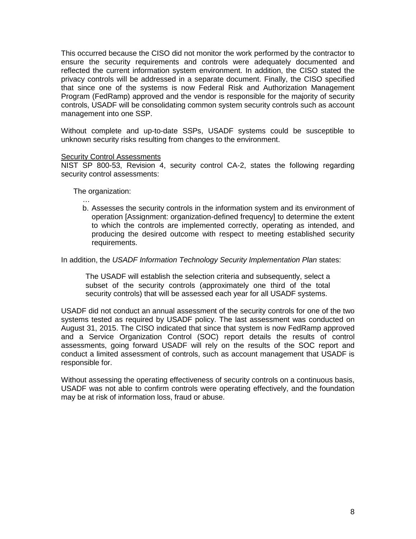This occurred because the CISO did not monitor the work performed by the contractor to ensure the security requirements and controls were adequately documented and reflected the current information system environment. In addition, the CISO stated the privacy controls will be addressed in a separate document. Finally, the CISO specified that since one of the systems is now Federal Risk and Authorization Management Program (FedRamp) approved and the vendor is responsible for the majority of security controls, USADF will be consolidating common system security controls such as account management into one SSP.

Without complete and up-to-date SSPs, USADF systems could be susceptible to unknown security risks resulting from changes to the environment.

#### **Security Control Assessments**

NIST SP 800-53, Revision 4, security control CA-2, states the following regarding security control assessments:

The organization:

…

b. Assesses the security controls in the information system and its environment of operation [Assignment: organization-defined frequency] to determine the extent to which the controls are implemented correctly, operating as intended, and producing the desired outcome with respect to meeting established security requirements.

In addition, the *USADF Information Technology Security Implementation Plan* states:

The USADF will establish the selection criteria and subsequently, select a subset of the security controls (approximately one third of the total security controls) that will be assessed each year for all USADF systems.

USADF did not conduct an annual assessment of the security controls for one of the two systems tested as required by USADF policy. The last assessment was conducted on August 31, 2015. The CISO indicated that since that system is now FedRamp approved and a Service Organization Control (SOC) report details the results of control assessments, going forward USADF will rely on the results of the SOC report and conduct a limited assessment of controls, such as account management that USADF is responsible for.

Without assessing the operating effectiveness of security controls on a continuous basis, USADF was not able to confirm controls were operating effectively, and the foundation may be at risk of information loss, fraud or abuse.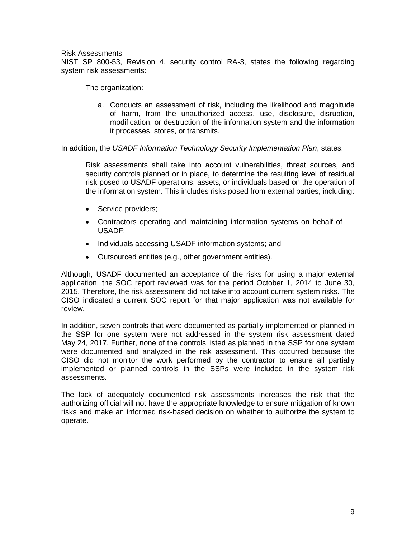#### Risk Assessments

NIST SP 800-53, Revision 4, security control RA-3, states the following regarding system risk assessments:

The organization:

a. Conducts an assessment of risk, including the likelihood and magnitude of harm, from the unauthorized access, use, disclosure, disruption, modification, or destruction of the information system and the information it processes, stores, or transmits.

In addition, the *USADF Information Technology Security Implementation Plan*, states:

Risk assessments shall take into account vulnerabilities, threat sources, and security controls planned or in place, to determine the resulting level of residual risk posed to USADF operations, assets, or individuals based on the operation of the information system. This includes risks posed from external parties, including:

- Service providers;
- Contractors operating and maintaining information systems on behalf of USADF;
- Individuals accessing USADF information systems; and
- Outsourced entities (e.g., other government entities).

Although, USADF documented an acceptance of the risks for using a major external application, the SOC report reviewed was for the period October 1, 2014 to June 30, 2015. Therefore, the risk assessment did not take into account current system risks. The CISO indicated a current SOC report for that major application was not available for review.

In addition, seven controls that were documented as partially implemented or planned in the SSP for one system were not addressed in the system risk assessment dated May 24, 2017. Further, none of the controls listed as planned in the SSP for one system were documented and analyzed in the risk assessment. This occurred because the CISO did not monitor the work performed by the contractor to ensure all partially implemented or planned controls in the SSPs were included in the system risk assessments.

The lack of adequately documented risk assessments increases the risk that the authorizing official will not have the appropriate knowledge to ensure mitigation of known risks and make an informed risk-based decision on whether to authorize the system to operate.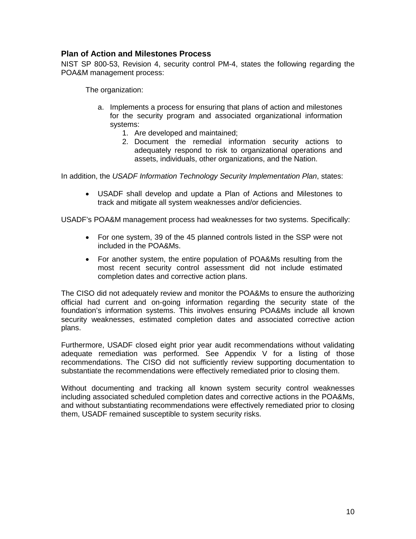#### **Plan of Action and Milestones Process**

NIST SP 800-53, Revision 4, security control PM-4, states the following regarding the POA&M management process:

The organization:

- a. Implements a process for ensuring that plans of action and milestones for the security program and associated organizational information systems:
	- 1. Are developed and maintained;
	- 2. Document the remedial information security actions to adequately respond to risk to organizational operations and assets, individuals, other organizations, and the Nation.

In addition, the *USADF Information Technology Security Implementation Plan*, states:

• USADF shall develop and update a Plan of Actions and Milestones to track and mitigate all system weaknesses and/or deficiencies.

USADF's POA&M management process had weaknesses for two systems. Specifically:

- For one system, 39 of the 45 planned controls listed in the SSP were not included in the POA&Ms.
- For another system, the entire population of POA&Ms resulting from the most recent security control assessment did not include estimated completion dates and corrective action plans.

The CISO did not adequately review and monitor the POA&Ms to ensure the authorizing official had current and on-going information regarding the security state of the foundation's information systems. This involves ensuring POA&Ms include all known security weaknesses, estimated completion dates and associated corrective action plans.

Furthermore, USADF closed eight prior year audit recommendations without validating adequate remediation was performed. See Appendix V for a listing of those recommendations. The CISO did not sufficiently review supporting documentation to substantiate the recommendations were effectively remediated prior to closing them.

Without documenting and tracking all known system security control weaknesses including associated scheduled completion dates and corrective actions in the POA&Ms, and without substantiating recommendations were effectively remediated prior to closing them, USADF remained susceptible to system security risks.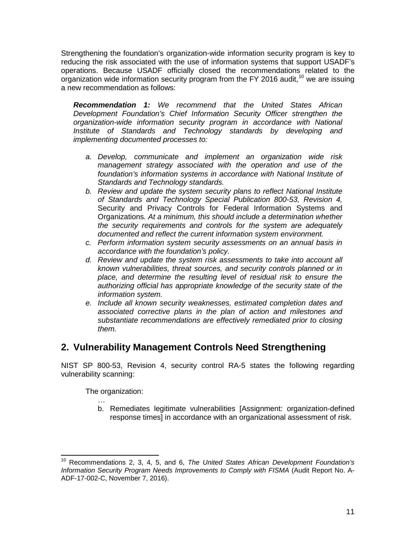Strengthening the foundation's organization-wide information security program is key to reducing the risk associated with the use of information systems that support USADF's operations. Because USADF officially closed the recommendations related to the organization wide information security program from the FY 2016 audit,<sup>[10](#page-19-0)</sup> we are issuing a new recommendation as follows:

*Recommendation 1: We recommend that the United States African Development Foundation's Chief Information Security Officer strengthen the organization-wide information security program in accordance with National Institute of Standards and Technology standards by developing and implementing documented processes to:*

- *a. Develop, communicate and implement an organization wide risk management strategy associated with the operation and use of the foundation's information systems in accordance with National Institute of Standards and Technology standards.*
- *b. Review and update the system security plans to reflect National Institute of Standards and Technology Special Publication 800-53, Revision 4,*  Security and Privacy Controls for Federal Information Systems and Organizations*. At a minimum, this should include a determination whether the security requirements and controls for the system are adequately documented and reflect the current information system environment.*
- *c. Perform information system security assessments on an annual basis in accordance with the foundation's policy.*
- *d. Review and update the system risk assessments to take into account all known vulnerabilities, threat sources, and security controls planned or in place, and determine the resulting level of residual risk to ensure the authorizing official has appropriate knowledge of the security state of the information system.*
- *e. Include all known security weaknesses, estimated completion dates and associated corrective plans in the plan of action and milestones and substantiate recommendations are effectively remediated prior to closing them.*

#### **2. Vulnerability Management Controls Need Strengthening**

NIST SP 800-53, Revision 4, security control RA-5 states the following regarding vulnerability scanning:

The organization:

… b. Remediates legitimate vulnerabilities [Assignment: organization-defined response times] in accordance with an organizational assessment of risk.

<span id="page-19-0"></span><sup>10</sup> Recommendations 2, 3, 4, 5, and 6, *The United States African Development Foundation's Information Security Program Needs Improvements to Comply with FISMA* (Audit Report No. A-ADF-17-002-C, November 7, 2016).  $\overline{\phantom{a}}$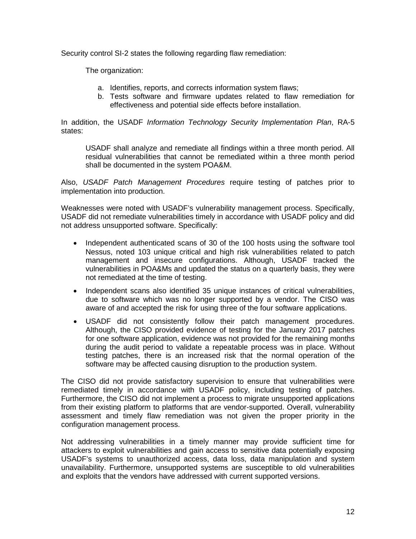Security control SI-2 states the following regarding flaw remediation:

The organization:

- a. Identifies, reports, and corrects information system flaws;
- b. Tests software and firmware updates related to flaw remediation for effectiveness and potential side effects before installation.

In addition, the USADF *Information Technology Security Implementation Plan*, RA-5 states:

USADF shall analyze and remediate all findings within a three month period. All residual vulnerabilities that cannot be remediated within a three month period shall be documented in the system POA&M.

Also, *USADF Patch Management Procedures* require testing of patches prior to implementation into production.

Weaknesses were noted with USADF's vulnerability management process. Specifically, USADF did not remediate vulnerabilities timely in accordance with USADF policy and did not address unsupported software. Specifically:

- Independent authenticated scans of 30 of the 100 hosts using the software tool Nessus, noted 103 unique critical and high risk vulnerabilities related to patch management and insecure configurations. Although, USADF tracked the vulnerabilities in POA&Ms and updated the status on a quarterly basis, they were not remediated at the time of testing.
- Independent scans also identified 35 unique instances of critical vulnerabilities, due to software which was no longer supported by a vendor. The CISO was aware of and accepted the risk for using three of the four software applications.
- USADF did not consistently follow their patch management procedures. Although, the CISO provided evidence of testing for the January 2017 patches for one software application, evidence was not provided for the remaining months during the audit period to validate a repeatable process was in place. Without testing patches, there is an increased risk that the normal operation of the software may be affected causing disruption to the production system.

The CISO did not provide satisfactory supervision to ensure that vulnerabilities were remediated timely in accordance with USADF policy, including testing of patches. Furthermore, the CISO did not implement a process to migrate unsupported applications from their existing platform to platforms that are vendor-supported. Overall, vulnerability assessment and timely flaw remediation was not given the proper priority in the configuration management process.

Not addressing vulnerabilities in a timely manner may provide sufficient time for attackers to exploit vulnerabilities and gain access to sensitive data potentially exposing USADF's systems to unauthorized access, data loss, data manipulation and system unavailability. Furthermore, unsupported systems are susceptible to old vulnerabilities and exploits that the vendors have addressed with current supported versions.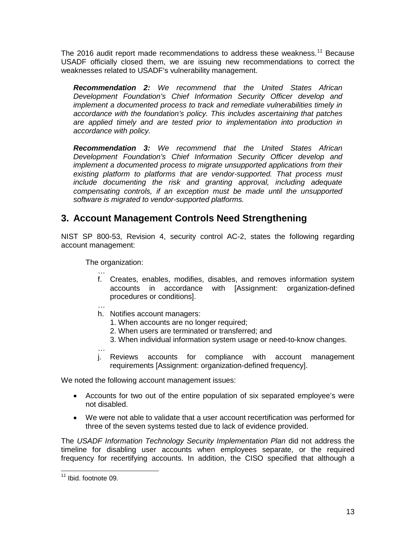The 2016 audit report made recommendations to address these weakness.<sup>[11](#page-21-0)</sup> Because USADF officially closed them, we are issuing new recommendations to correct the weaknesses related to USADF's vulnerability management.

*Recommendation 2: We recommend that the United States African Development Foundation's Chief Information Security Officer develop and implement a documented process to track and remediate vulnerabilities timely in accordance with the foundation's policy. This includes ascertaining that patches are applied timely and are tested prior to implementation into production in accordance with policy.*

*Recommendation 3: We recommend that the United States African Development Foundation's Chief Information Security Officer develop and implement a documented process to migrate unsupported applications from their existing platform to platforms that are vendor-supported. That process must include documenting the risk and granting approval, including adequate compensating controls, if an exception must be made until the unsupported software is migrated to vendor-supported platforms.*

#### **3. Account Management Controls Need Strengthening**

NIST SP 800-53, Revision 4, security control AC-2, states the following regarding account management:

The organization:

- … f. Creates, enables, modifies, disables, and removes information system accounts in accordance with [Assignment: organization-defined procedures or conditions].
- … h. Notifies account managers:
	- 1. When accounts are no longer required;
	- 2. When users are terminated or transferred; and
	- 3. When individual information system usage or need-to-know changes.
- … j. Reviews accounts for compliance with account management requirements [Assignment: organization-defined frequency].

We noted the following account management issues:

- Accounts for two out of the entire population of six separated employee's were not disabled.
- We were not able to validate that a user account recertification was performed for three of the seven systems tested due to lack of evidence provided.

The *USADF Information Technology Security Implementation Plan* did not address the timeline for disabling user accounts when employees separate, or the required frequency for recertifying accounts. In addition, the CISO specified that although a

<span id="page-21-0"></span><sup>&</sup>lt;sup>11</sup> Ibid. footnote 09.  $\overline{\phantom{a}}$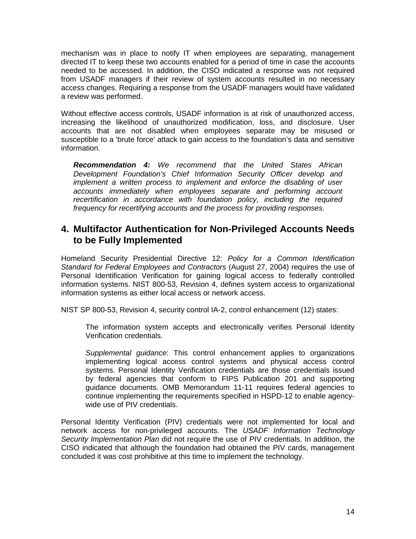mechanism was in place to notify IT when employees are separating, management directed IT to keep these two accounts enabled for a period of time in case the accounts needed to be accessed. In addition, the CISO indicated a response was not required from USADF managers if their review of system accounts resulted in no necessary access changes. Requiring a response from the USADF managers would have validated a review was performed.

Without effective access controls, USADF information is at risk of unauthorized access, increasing the likelihood of unauthorized modification, loss, and disclosure. User accounts that are not disabled when employees separate may be misused or susceptible to a 'brute force' attack to gain access to the foundation's data and sensitive information.

*Recommendation 4: We recommend that the United States African Development Foundation's Chief Information Security Officer develop and implement a written process to implement and enforce the disabling of user accounts immediately when employees separate and performing account recertification in accordance with foundation policy, including the required frequency for recertifying accounts and the process for providing responses.*

#### **4. Multifactor Authentication for Non-Privileged Accounts Needs to be Fully Implemented**

Homeland Security Presidential Directive 12: *Policy for a Common Identification Standard for Federal Employees and Contractors* (August 27, 2004) requires the use of Personal Identification Verification for gaining logical access to federally controlled information systems. NIST 800-53, Revision 4, defines system access to organizational information systems as either local access or network access.

NIST SP 800-53, Revision 4, security control IA-2, control enhancement (12) states:

The information system accepts and electronically verifies Personal Identity Verification credentials.

*Supplemental guidance*: This control enhancement applies to organizations implementing logical access control systems and physical access control systems. Personal Identity Verification credentials are those credentials issued by federal agencies that conform to FIPS Publication 201 and supporting guidance documents. OMB Memorandum 11-11 requires federal agencies to continue implementing the requirements specified in HSPD-12 to enable agencywide use of PIV credentials.

Personal Identity Verification (PIV) credentials were not implemented for local and network access for non-privileged accounts. The *USADF Information Technology Security Implementation Plan* did not require the use of PIV credentials. In addition, the CISO indicated that although the foundation had obtained the PIV cards, management concluded it was cost prohibitive at this time to implement the technology.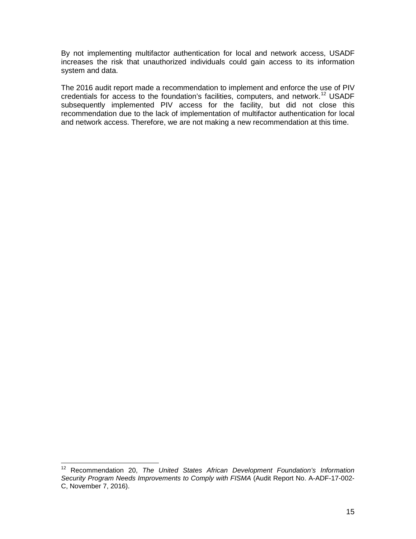By not implementing multifactor authentication for local and network access, USADF increases the risk that unauthorized individuals could gain access to its information system and data.

The 2016 audit report made a recommendation to implement and enforce the use of PIV credentials for access to the foundation's facilities, computers, and network.<sup>[12](#page-23-0)</sup> USADF subsequently implemented PIV access for the facility, but did not close this recommendation due to the lack of implementation of multifactor authentication for local and network access. Therefore, we are not making a new recommendation at this time.

<span id="page-23-0"></span><sup>&</sup>lt;sup>12</sup> Recommendation 20, *The United States African Development Foundation's Information Security Program Needs Improvements to Comply with FISMA* (Audit Report No. A-ADF-17-002- C, November 7, 2016).  $\overline{\phantom{a}}$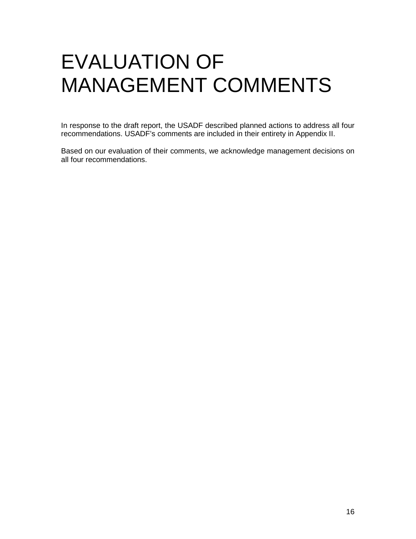### EVALUATION OF MANAGEMENT COMMENTS

In response to the draft report, the USADF described planned actions to address all four recommendations. USADF's comments are included in their entirety in Appendix II.

Based on our evaluation of their comments, we acknowledge management decisions on all four recommendations.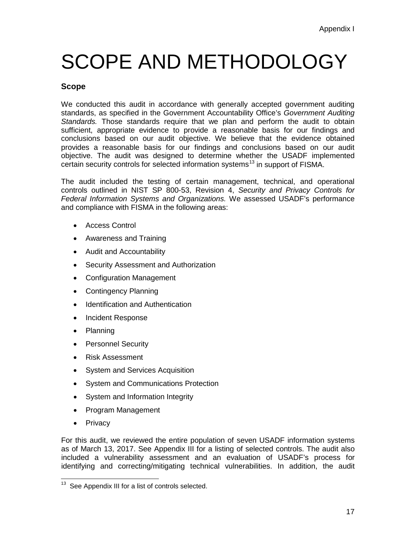# SCOPE AND METHODOLOGY

#### **Scope**

We conducted this audit in accordance with generally accepted government auditing standards, as specified in the Government Accountability Office's *Government Auditing Standards.* Those standards require that we plan and perform the audit to obtain sufficient, appropriate evidence to provide a reasonable basis for our findings and conclusions based on our audit objective. We believe that the evidence obtained provides a reasonable basis for our findings and conclusions based on our audit objective. The audit was designed to determine whether the USADF implemented certain security controls for selected information systems<sup>[13](#page-25-0)</sup> in support of FISMA.

The audit included the testing of certain management, technical, and operational controls outlined in NIST SP 800-53, Revision 4, *Security and Privacy Controls for Federal Information Systems and Organizations.* We assessed USADF's performance and compliance with FISMA in the following areas:

- Access Control
- Awareness and Training
- Audit and Accountability
- Security Assessment and Authorization
- Configuration Management
- Contingency Planning
- Identification and Authentication
- Incident Response
- Planning
- Personnel Security
- Risk Assessment
- System and Services Acquisition
- System and Communications Protection
- System and Information Integrity
- Program Management
- Privacy

For this audit, we reviewed the entire population of seven USADF information systems as of March 13, 2017. See Appendix III for a listing of selected controls. The audit also included a vulnerability assessment and an evaluation of USADF's process for identifying and correcting/mitigating technical vulnerabilities. In addition, the audit

<span id="page-25-0"></span><sup>&</sup>lt;sup>13</sup> See Appendix III for a list of controls selected.  $\overline{\phantom{a}}$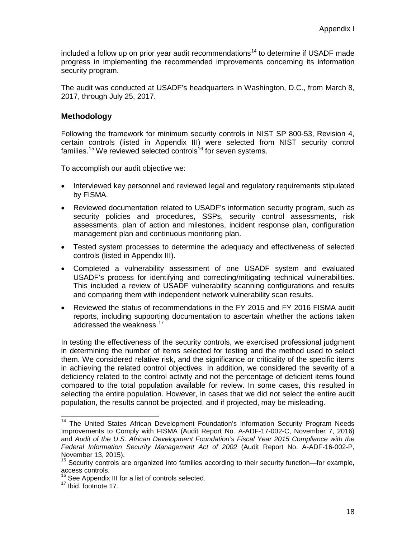included a follow up on prior year audit recommendations<sup>[14](#page-26-0)</sup> to determine if USADF made progress in implementing the recommended improvements concerning its information security program.

The audit was conducted at USADF's headquarters in Washington, D.C., from March 8, 2017, through July 25, 2017.

#### **Methodology**

Following the framework for minimum security controls in NIST SP 800-53, Revision 4, certain controls (listed in Appendix III) were selected from NIST security control families.<sup>[15](#page-26-1)</sup> We reviewed selected controls<sup>[16](#page-26-2)</sup> for seven systems.

To accomplish our audit objective we:

- Interviewed key personnel and reviewed legal and regulatory requirements stipulated by FISMA.
- Reviewed documentation related to USADF's information security program, such as security policies and procedures, SSPs, security control assessments, risk assessments, plan of action and milestones, incident response plan, configuration management plan and continuous monitoring plan.
- Tested system processes to determine the adequacy and effectiveness of selected controls (listed in Appendix III).
- Completed a vulnerability assessment of one USADF system and evaluated USADF's process for identifying and correcting/mitigating technical vulnerabilities. This included a review of USADF vulnerability scanning configurations and results and comparing them with independent network vulnerability scan results.
- Reviewed the status of recommendations in the FY 2015 and FY 2016 FISMA audit reports, including supporting documentation to ascertain whether the actions taken addressed the weakness.<sup>[17](#page-26-3)</sup>

In testing the effectiveness of the security controls, we exercised professional judgment in determining the number of items selected for testing and the method used to select them. We considered relative risk, and the significance or criticality of the specific items in achieving the related control objectives. In addition, we considered the severity of a deficiency related to the control activity and not the percentage of deficient items found compared to the total population available for review. In some cases, this resulted in selecting the entire population. However, in cases that we did not select the entire audit population, the results cannot be projected, and if projected, may be misleading.

<span id="page-26-0"></span><sup>&</sup>lt;sup>14</sup> The United States African Development Foundation's Information Security Program Needs Improvements to Comply with FISMA (Audit Report No. A-ADF-17-002-C, November 7, 2016) and *Audit of the U.S. African Development Foundation's Fiscal Year 2015 Compliance with the Federal Information Security Management Act of 2002* (Audit Report No. A-ADF-16-002-P,  $\overline{\phantom{a}}$ 

<span id="page-26-1"></span>November 13, 2015).<br><sup>15</sup> Security controls are organized into families according to their security function—for example, access controls.

<span id="page-26-3"></span><span id="page-26-2"></span><sup>16</sup> See Appendix III for a list of controls selected.<br><sup>17</sup> Ibid. footnote 17.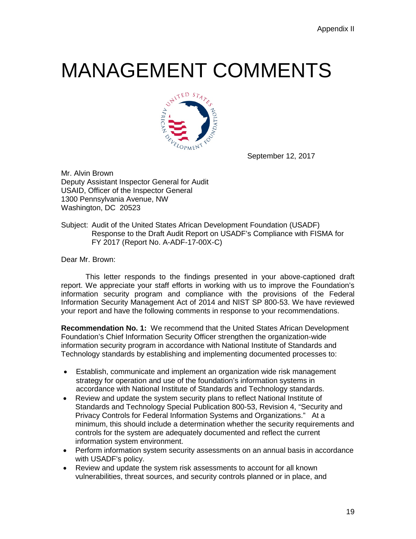### MANAGEMENT COMMENTS



September 12, 2017

Mr. Alvin Brown Deputy Assistant Inspector General for Audit USAID, Officer of the Inspector General 1300 Pennsylvania Avenue, NW Washington, DC 20523

Subject: Audit of the United States African Development Foundation (USADF) Response to the Draft Audit Report on USADF's Compliance with FISMA for FY 2017 (Report No. A-ADF-17-00X-C)

Dear Mr. Brown:

This letter responds to the findings presented in your above-captioned draft report. We appreciate your staff efforts in working with us to improve the Foundation's information security program and compliance with the provisions of the Federal Information Security Management Act of 2014 and NIST SP 800-53. We have reviewed your report and have the following comments in response to your recommendations.

**Recommendation No. 1:** We recommend that the United States African Development Foundation's Chief Information Security Officer strengthen the organization-wide information security program in accordance with National Institute of Standards and Technology standards by establishing and implementing documented processes to:

- Establish, communicate and implement an organization wide risk management strategy for operation and use of the foundation's information systems in accordance with National Institute of Standards and Technology standards.
- Review and update the system security plans to reflect National Institute of Standards and Technology Special Publication 800-53, Revision 4, "Security and Privacy Controls for Federal Information Systems and Organizations." At a minimum, this should include a determination whether the security requirements and controls for the system are adequately documented and reflect the current information system environment.
- Perform information system security assessments on an annual basis in accordance with USADF's policy.
- Review and update the system risk assessments to account for all known vulnerabilities, threat sources, and security controls planned or in place, and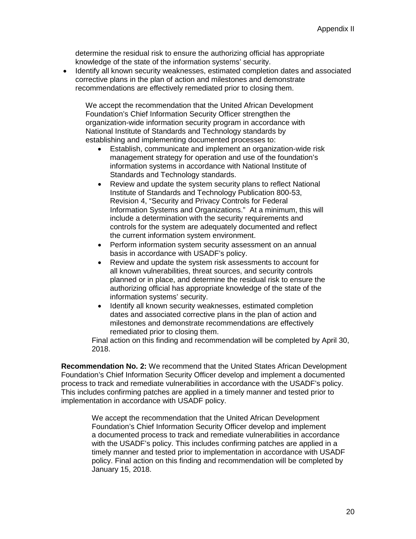determine the residual risk to ensure the authorizing official has appropriate knowledge of the state of the information systems' security.

• Identify all known security weaknesses, estimated completion dates and associated corrective plans in the plan of action and milestones and demonstrate recommendations are effectively remediated prior to closing them.

We accept the recommendation that the United African Development Foundation's Chief Information Security Officer strengthen the organization-wide information security program in accordance with National Institute of Standards and Technology standards by establishing and implementing documented processes to:

- Establish, communicate and implement an organization-wide risk management strategy for operation and use of the foundation's information systems in accordance with National Institute of Standards and Technology standards.
- Review and update the system security plans to reflect National Institute of Standards and Technology Publication 800-53, Revision 4, "Security and Privacy Controls for Federal Information Systems and Organizations." At a minimum, this will include a determination with the security requirements and controls for the system are adequately documented and reflect the current information system environment.
- Perform information system security assessment on an annual basis in accordance with USADF's policy.
- Review and update the system risk assessments to account for all known vulnerabilities, threat sources, and security controls planned or in place, and determine the residual risk to ensure the authorizing official has appropriate knowledge of the state of the information systems' security.
- Identify all known security weaknesses, estimated completion dates and associated corrective plans in the plan of action and milestones and demonstrate recommendations are effectively remediated prior to closing them.

Final action on this finding and recommendation will be completed by April 30, 2018.

**Recommendation No. 2:** We recommend that the United States African Development Foundation's Chief Information Security Officer develop and implement a documented process to track and remediate vulnerabilities in accordance with the USADF's policy. This includes confirming patches are applied in a timely manner and tested prior to implementation in accordance with USADF policy.

> We accept the recommendation that the United African Development Foundation's Chief Information Security Officer develop and implement a documented process to track and remediate vulnerabilities in accordance with the USADF's policy. This includes confirming patches are applied in a timely manner and tested prior to implementation in accordance with USADF policy. Final action on this finding and recommendation will be completed by January 15, 2018.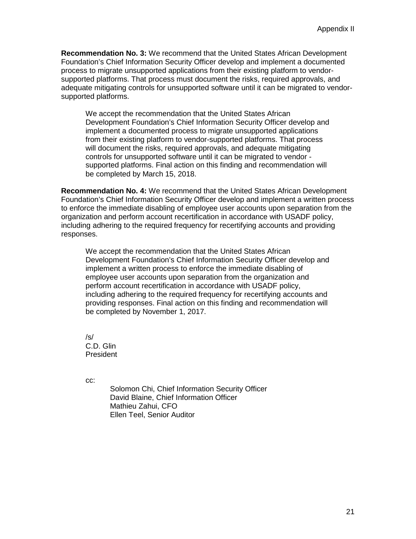**Recommendation No. 3:** We recommend that the United States African Development Foundation's Chief Information Security Officer develop and implement a documented process to migrate unsupported applications from their existing platform to vendorsupported platforms. That process must document the risks, required approvals, and adequate mitigating controls for unsupported software until it can be migrated to vendorsupported platforms.

We accept the recommendation that the United States African Development Foundation's Chief Information Security Officer develop and implement a documented process to migrate unsupported applications from their existing platform to vendor-supported platforms. That process will document the risks, required approvals, and adequate mitigating controls for unsupported software until it can be migrated to vendor supported platforms. Final action on this finding and recommendation will be completed by March 15, 2018.

**Recommendation No. 4:** We recommend that the United States African Development Foundation's Chief Information Security Officer develop and implement a written process to enforce the immediate disabling of employee user accounts upon separation from the organization and perform account recertification in accordance with USADF policy, including adhering to the required frequency for recertifying accounts and providing responses.

We accept the recommendation that the United States African Development Foundation's Chief Information Security Officer develop and implement a written process to enforce the immediate disabling of employee user accounts upon separation from the organization and perform account recertification in accordance with USADF policy, including adhering to the required frequency for recertifying accounts and providing responses. Final action on this finding and recommendation will be completed by November 1, 2017.

/s/ C.D. Glin President

cc:

Solomon Chi, Chief Information Security Officer David Blaine, Chief Information Officer Mathieu Zahui, CFO Ellen Teel, Senior Auditor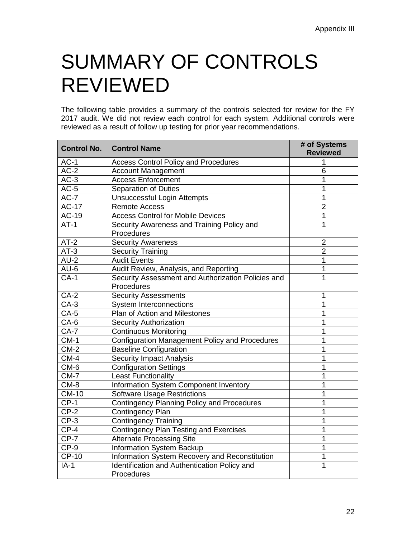## SUMMARY OF CONTROLS REVIEWED

The following table provides a summary of the controls selected for review for the FY 2017 audit. We did not review each control for each system. Additional controls were reviewed as a result of follow up testing for prior year recommendations.

| <b>Control No.</b> | <b>Control Name</b>                                              | # of Systems<br><b>Reviewed</b> |
|--------------------|------------------------------------------------------------------|---------------------------------|
| $AC-1$             | <b>Access Control Policy and Procedures</b>                      | 1                               |
| $AC-2$             | <b>Account Management</b>                                        | 6                               |
| $AC-3$             | <b>Access Enforcement</b>                                        | 1                               |
| $AC-5$             | <b>Separation of Duties</b>                                      | $\mathbf 1$                     |
| $AC-7$             | Unsuccessful Login Attempts                                      | $\mathbf 1$                     |
| <b>AC-17</b>       | <b>Remote Access</b>                                             | $\overline{2}$                  |
| $AC-19$            | <b>Access Control for Mobile Devices</b>                         | 1                               |
| $AT-1$             | Security Awareness and Training Policy and<br>Procedures         | $\mathbf{1}$                    |
| $AT-2$             | <b>Security Awareness</b>                                        | $\overline{2}$                  |
| $AT-3$             | <b>Security Training</b>                                         | $\overline{2}$                  |
| $AU-2$             | <b>Audit Events</b>                                              | 1                               |
| $AU-6$             | Audit Review, Analysis, and Reporting                            | 1                               |
| $CA-1$             | Security Assessment and Authorization Policies and<br>Procedures | $\overline{1}$                  |
| $CA-2$             | <b>Security Assessments</b>                                      | 1                               |
| $CA-3$             | <b>System Interconnections</b>                                   | 1                               |
| $CA-5$             | Plan of Action and Milestones                                    | 1                               |
| $CA-6$             | <b>Security Authorization</b>                                    | 1                               |
| $CA-7$             | <b>Continuous Monitoring</b>                                     | 1                               |
| $CM-1$             | <b>Configuration Management Policy and Procedures</b>            | $\overline{1}$                  |
| $CM-2$             | <b>Baseline Configuration</b>                                    | 1                               |
| $CM-4$             | <b>Security Impact Analysis</b>                                  | 1                               |
| CM-6               | <b>Configuration Settings</b>                                    | 1                               |
| $CM-7$             | <b>Least Functionality</b>                                       | $\overline{1}$                  |
| $CM-8$             | Information System Component Inventory                           | $\overline{1}$                  |
| <b>CM-10</b>       | <b>Software Usage Restrictions</b>                               | 1                               |
| $CP-1$             | <b>Contingency Planning Policy and Procedures</b>                | 1                               |
| $CP-2$             | <b>Contingency Plan</b>                                          | 1                               |
| $CP-3$             | <b>Contingency Training</b>                                      | 1                               |
| $CP-4$             | Contingency Plan Testing and Exercises                           | 1                               |
| $CP-7$             | <b>Alternate Processing Site</b>                                 | 1                               |
| CP-9               | Information System Backup                                        | $\mathbf 1$                     |
| $CP-10$            | Information System Recovery and Reconstitution                   | 1                               |
| $IA-1$             | Identification and Authentication Policy and<br>Procedures       | $\mathbf{1}$                    |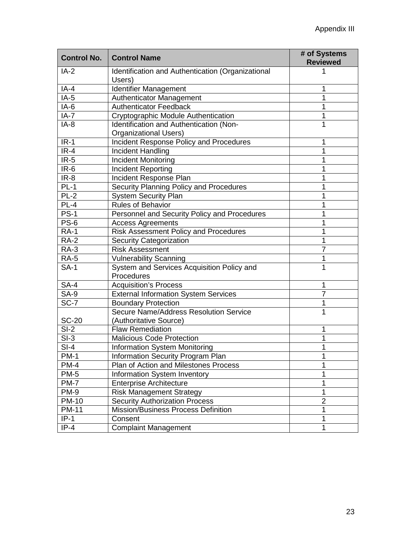| <b>Control No.</b> | <b>Control Name</b>                               | # of Systems<br><b>Reviewed</b> |
|--------------------|---------------------------------------------------|---------------------------------|
| $IA-2$             | Identification and Authentication (Organizational |                                 |
|                    | Users)                                            |                                 |
| $IA-4$             | <b>Identifier Management</b>                      | 1                               |
| $IA-5$             | Authenticator Management                          | 1                               |
| $IA-6$             | <b>Authenticator Feedback</b>                     | 1                               |
| $IA-7$             | <b>Cryptographic Module Authentication</b>        | 1                               |
| $IA-8$             | Identification and Authentication (Non-           | 1                               |
|                    | <b>Organizational Users)</b>                      |                                 |
| $IR-1$             | Incident Response Policy and Procedures           | 1                               |
| $IR-4$             | Incident Handling                                 | 1                               |
| $IR-5$             | <b>Incident Monitoring</b>                        | 1                               |
| $IR-6$             | Incident Reporting                                | 1                               |
| $IR-8$             | Incident Response Plan                            | 1                               |
| $PL-1$             | Security Planning Policy and Procedures           | 1                               |
| $PL-2$             | <b>System Security Plan</b>                       | 1                               |
| $PL-4$             | <b>Rules of Behavior</b>                          | 1                               |
| <b>PS-1</b>        | Personnel and Security Policy and Procedures      | 1                               |
| <b>PS-6</b>        | <b>Access Agreements</b>                          | 1                               |
| <b>RA-1</b>        | <b>Risk Assessment Policy and Procedures</b>      | 1                               |
| <b>RA-2</b>        | <b>Security Categorization</b>                    | 1                               |
| <b>RA-3</b>        | <b>Risk Assessment</b>                            | 7                               |
| <b>RA-5</b>        | <b>Vulnerability Scanning</b>                     | 1                               |
| <b>SA-1</b>        | System and Services Acquisition Policy and        | 1                               |
|                    | Procedures                                        |                                 |
| <b>SA-4</b>        | <b>Acquisition's Process</b>                      | 1                               |
| <b>SA-9</b>        | <b>External Information System Services</b>       | 7                               |
| SC-7               | <b>Boundary Protection</b>                        | 1                               |
|                    | Secure Name/Address Resolution Service            | 1                               |
| <b>SC-20</b>       | (Authoritative Source)                            |                                 |
| $SI-2$             | <b>Flaw Remediation</b>                           | 1                               |
| $SI-3$             | <b>Malicious Code Protection</b>                  | 1                               |
| $SI-4$             | <b>Information System Monitoring</b>              | 1                               |
| <b>PM-1</b>        | Information Security Program Plan                 | 1                               |
| $PM-4$             | Plan of Action and Milestones Process             | 1                               |
| <b>PM-5</b>        | Information System Inventory                      | 1                               |
| <b>PM-7</b>        | <b>Enterprise Architecture</b>                    | 1                               |
| <b>PM-9</b>        | <b>Risk Management Strategy</b>                   | 1                               |
| <b>PM-10</b>       | <b>Security Authorization Process</b>             | $\overline{2}$                  |
| <b>PM-11</b>       | Mission/Business Process Definition               | 1                               |
| $IP-1$             | Consent                                           | 1                               |
| $IP-4$             | <b>Complaint Management</b>                       | 1                               |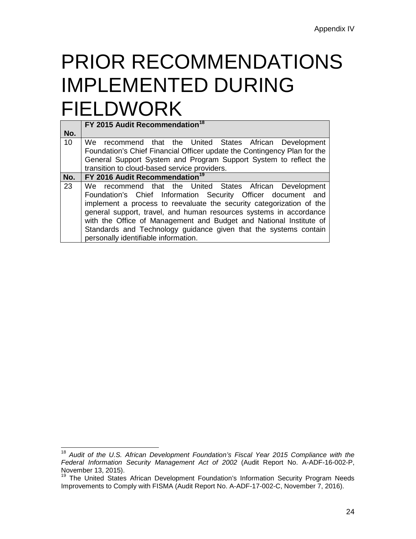### PRIOR RECOMMENDATIONS IMPLEMENTED DURING FIELDWORK

|     | FY 2015 Audit Recommendation <sup>18</sup>                                                                                                                                                                                                                                                                                                                                                                                                              |
|-----|---------------------------------------------------------------------------------------------------------------------------------------------------------------------------------------------------------------------------------------------------------------------------------------------------------------------------------------------------------------------------------------------------------------------------------------------------------|
| No. |                                                                                                                                                                                                                                                                                                                                                                                                                                                         |
| 10  | We recommend that the United States African Development<br>Foundation's Chief Financial Officer update the Contingency Plan for the<br>General Support System and Program Support System to reflect the<br>transition to cloud-based service providers.                                                                                                                                                                                                 |
| No. | FY 2016 Audit Recommendation <sup>19</sup>                                                                                                                                                                                                                                                                                                                                                                                                              |
| 23  | We recommend that the United States African Development<br>Foundation's Chief Information Security Officer document and<br>implement a process to reevaluate the security categorization of the<br>general support, travel, and human resources systems in accordance<br>with the Office of Management and Budget and National Institute of<br>Standards and Technology guidance given that the systems contain<br>personally identifiable information. |

<span id="page-32-0"></span><sup>18</sup> *Audit of the U.S. African Development Foundation's Fiscal Year 2015 Compliance with the Federal Information Security Management Act of 2002* (Audit Report No. A-ADF-16-002-P,  $\overline{\phantom{a}}$ 

<span id="page-32-1"></span><sup>19</sup> The United States African Development Foundation's Information Security Program Needs Improvements to Comply with FISMA (Audit Report No. A-ADF-17-002-C, November 7, 2016).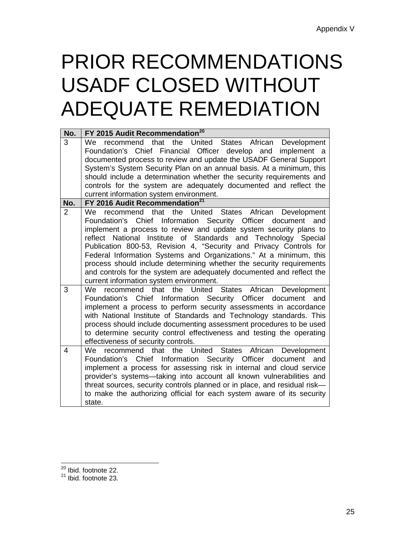### PRIOR RECOMMENDATIONS USADF CLOSED WITHOUT ADEQUATE REMEDIATION

| No.            | FY 2015 Audit Recommendation <sup>20</sup>                                                                                                                                                                                                                                                                                                                                                                                                                                                                                                                                                                                 |
|----------------|----------------------------------------------------------------------------------------------------------------------------------------------------------------------------------------------------------------------------------------------------------------------------------------------------------------------------------------------------------------------------------------------------------------------------------------------------------------------------------------------------------------------------------------------------------------------------------------------------------------------------|
| 3              | recommend that<br>the United States<br>We<br>African Development<br>Financial Officer develop and<br>Chief<br>Foundation's<br>implement a<br>documented process to review and update the USADF General Support<br>System's System Security Plan on an annual basis. At a minimum, this                                                                                                                                                                                                                                                                                                                                     |
|                | should include a determination whether the security requirements and<br>controls for the system are adequately documented and reflect the<br>current information system environment.                                                                                                                                                                                                                                                                                                                                                                                                                                       |
| No.            | FY 2016 Audit Recommendation <sup>21</sup>                                                                                                                                                                                                                                                                                                                                                                                                                                                                                                                                                                                 |
| $\overline{2}$ | recommend that the United<br><b>States</b><br>African<br>We.<br>Development<br>Foundation's Chief Information Security Officer document and<br>implement a process to review and update system security plans to<br>reflect National Institute of Standards and Technology Special<br>Publication 800-53, Revision 4, "Security and Privacy Controls for<br>Federal Information Systems and Organizations." At a minimum, this<br>process should include determining whether the security requirements<br>and controls for the system are adequately documented and reflect the<br>current information system environment. |
| 3              | recommend that the United States African Development<br>We<br>Chief Information Security Officer<br>document and<br>Foundation's<br>implement a process to perform security assessments in accordance<br>with National Institute of Standards and Technology standards. This<br>process should include documenting assessment procedures to be used<br>to determine security control effectiveness and testing the operating<br>effectiveness of security controls.                                                                                                                                                        |
| 4              | We recommend that the United<br><b>States</b><br>African Development<br>Chief Information Security Officer document and<br>Foundation's<br>implement a process for assessing risk in internal and cloud service<br>provider's systems-taking into account all known vulnerabilities and<br>threat sources, security controls planned or in place, and residual risk-<br>to make the authorizing official for each system aware of its security<br>state.                                                                                                                                                                   |

 $\overline{a}$ 

<span id="page-33-1"></span><span id="page-33-0"></span><sup>&</sup>lt;sup>20</sup> Ibid. footnote 22.<br><sup>21</sup> Ibid. footnote 23.